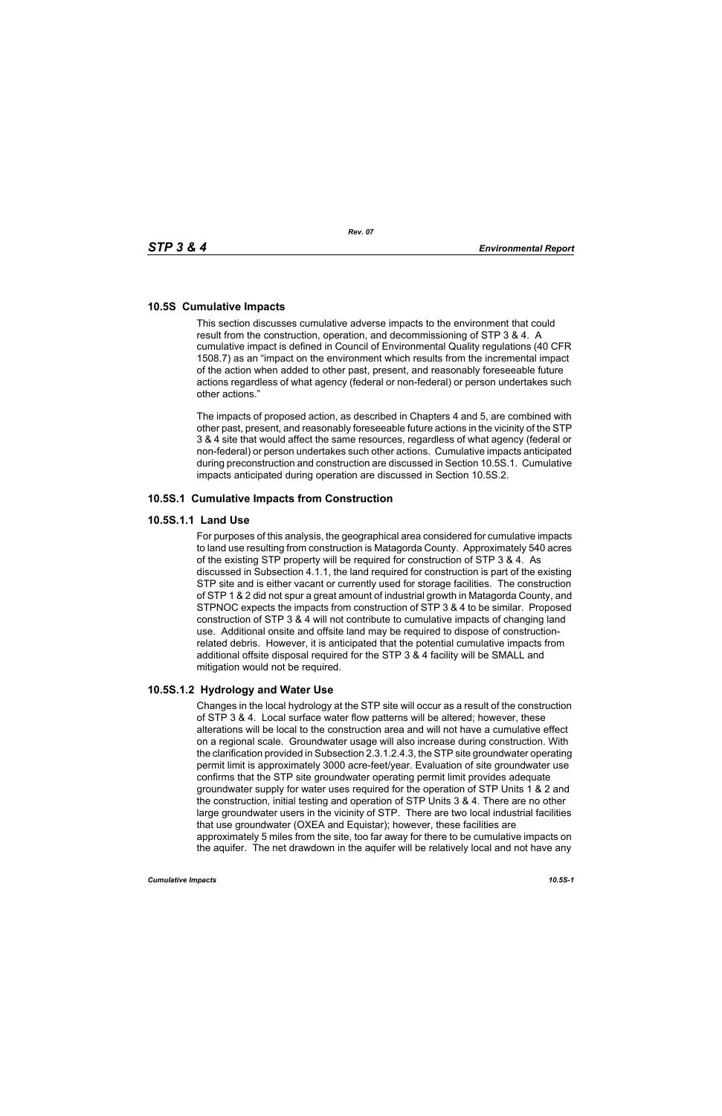## **10.5S Cumulative Impacts**

This section discusses cumulative adverse impacts to the environment that could result from the construction, operation, and decommissioning of STP 3 & 4. A cumulative impact is defined in Council of Environmental Quality regulations (40 CFR 1508.7) as an "impact on the environment which results from the incremental impact of the action when added to other past, present, and reasonably foreseeable future actions regardless of what agency (federal or non-federal) or person undertakes such other actions."

The impacts of proposed action, as described in Chapters 4 and 5, are combined with other past, present, and reasonably foreseeable future actions in the vicinity of the STP 3 & 4 site that would affect the same resources, regardless of what agency (federal or non-federal) or person undertakes such other actions. Cumulative impacts anticipated during preconstruction and construction are discussed in Section 10.5S.1. Cumulative impacts anticipated during operation are discussed in Section 10.5S.2.

### **10.5S.1 Cumulative Impacts from Construction**

### **10.5S.1.1 Land Use**

For purposes of this analysis, the geographical area considered for cumulative impacts to land use resulting from construction is Matagorda County. Approximately 540 acres of the existing STP property will be required for construction of STP 3 & 4. As discussed in Subsection 4.1.1, the land required for construction is part of the existing STP site and is either vacant or currently used for storage facilities. The construction of STP 1 & 2 did not spur a great amount of industrial growth in Matagorda County, and STPNOC expects the impacts from construction of STP 3 & 4 to be similar. Proposed construction of STP 3 & 4 will not contribute to cumulative impacts of changing land use. Additional onsite and offsite land may be required to dispose of constructionrelated debris. However, it is anticipated that the potential cumulative impacts from additional offsite disposal required for the STP 3 & 4 facility will be SMALL and mitigation would not be required.

## **10.5S.1.2 Hydrology and Water Use**

Changes in the local hydrology at the STP site will occur as a result of the construction of STP 3 & 4. Local surface water flow patterns will be altered; however, these alterations will be local to the construction area and will not have a cumulative effect on a regional scale. Groundwater usage will also increase during construction. With the clarification provided in Subsection 2.3.1.2.4.3, the STP site groundwater operating permit limit is approximately 3000 acre-feet/year. Evaluation of site groundwater use confirms that the STP site groundwater operating permit limit provides adequate groundwater supply for water uses required for the operation of STP Units 1 & 2 and the construction, initial testing and operation of STP Units 3 & 4. There are no other large groundwater users in the vicinity of STP. There are two local industrial facilities that use groundwater (OXEA and Equistar); however, these facilities are approximately 5 miles from the site, too far away for there to be cumulative impacts on the aquifer. The net drawdown in the aquifer will be relatively local and not have any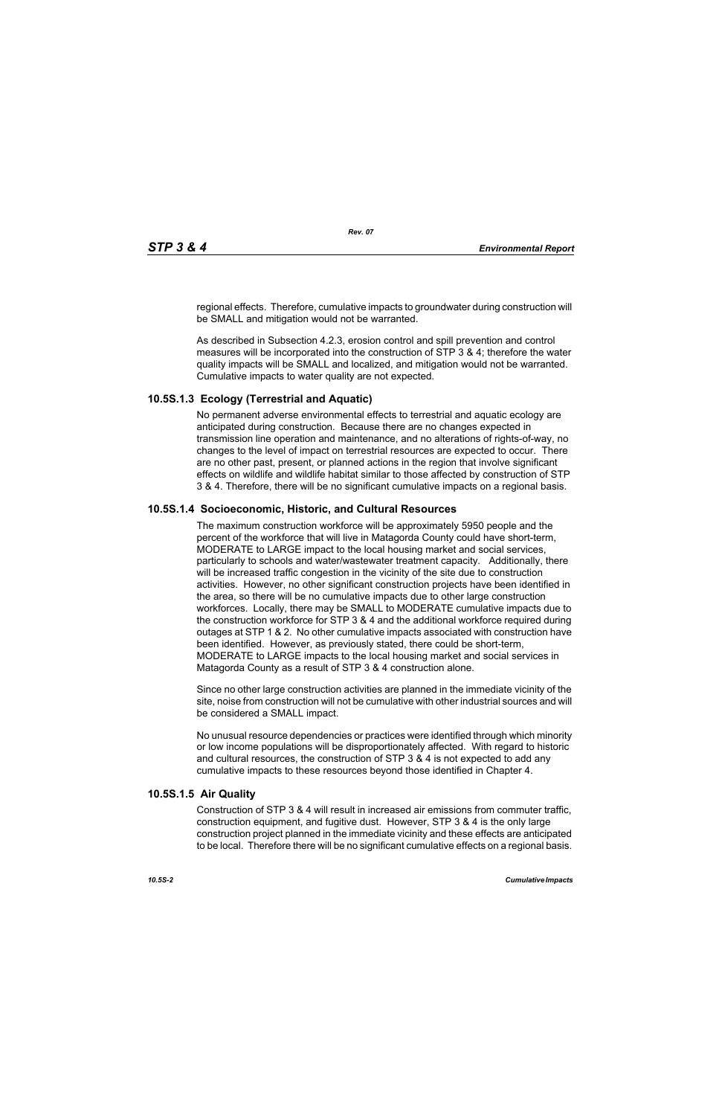regional effects. Therefore, cumulative impacts to groundwater during construction will be SMALL and mitigation would not be warranted.

As described in Subsection 4.2.3, erosion control and spill prevention and control measures will be incorporated into the construction of STP 3 & 4; therefore the water quality impacts will be SMALL and localized, and mitigation would not be warranted. Cumulative impacts to water quality are not expected.

# **10.5S.1.3 Ecology (Terrestrial and Aquatic)**

No permanent adverse environmental effects to terrestrial and aquatic ecology are anticipated during construction. Because there are no changes expected in transmission line operation and maintenance, and no alterations of rights-of-way, no changes to the level of impact on terrestrial resources are expected to occur. There are no other past, present, or planned actions in the region that involve significant effects on wildlife and wildlife habitat similar to those affected by construction of STP 3 & 4. Therefore, there will be no significant cumulative impacts on a regional basis.

## **10.5S.1.4 Socioeconomic, Historic, and Cultural Resources**

The maximum construction workforce will be approximately 5950 people and the percent of the workforce that will live in Matagorda County could have short-term, MODERATE to LARGE impact to the local housing market and social services, particularly to schools and water/wastewater treatment capacity. Additionally, there will be increased traffic congestion in the vicinity of the site due to construction activities. However, no other significant construction projects have been identified in the area, so there will be no cumulative impacts due to other large construction workforces. Locally, there may be SMALL to MODERATE cumulative impacts due to the construction workforce for STP 3 & 4 and the additional workforce required during outages at STP 1 & 2. No other cumulative impacts associated with construction have been identified. However, as previously stated, there could be short-term, MODERATE to LARGE impacts to the local housing market and social services in Matagorda County as a result of STP 3 & 4 construction alone.

Since no other large construction activities are planned in the immediate vicinity of the site, noise from construction will not be cumulative with other industrial sources and will be considered a SMALL impact.

No unusual resource dependencies or practices were identified through which minority or low income populations will be disproportionately affected. With regard to historic and cultural resources, the construction of STP 3 & 4 is not expected to add any cumulative impacts to these resources beyond those identified in Chapter 4.

## **10.5S.1.5 Air Quality**

Construction of STP 3 & 4 will result in increased air emissions from commuter traffic, construction equipment, and fugitive dust. However, STP 3 & 4 is the only large construction project planned in the immediate vicinity and these effects are anticipated to be local. Therefore there will be no significant cumulative effects on a regional basis.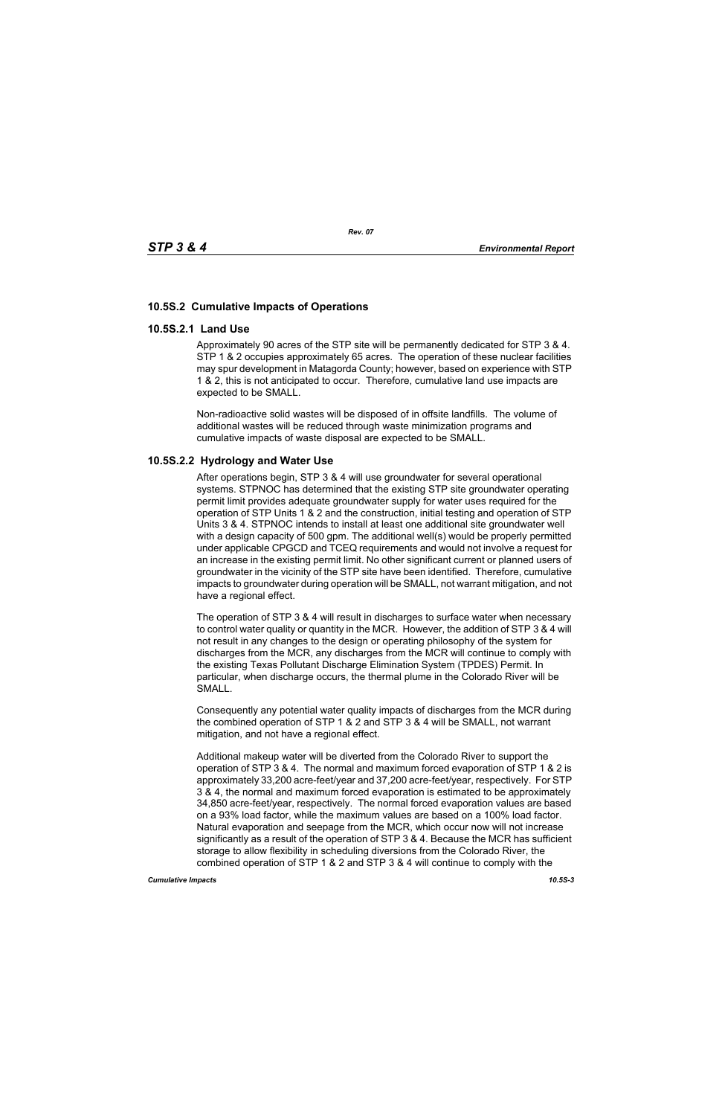# **10.5S.2 Cumulative Impacts of Operations**

### **10.5S.2.1 Land Use**

Approximately 90 acres of the STP site will be permanently dedicated for STP 3 & 4. STP 1 & 2 occupies approximately 65 acres. The operation of these nuclear facilities may spur development in Matagorda County; however, based on experience with STP 1 & 2, this is not anticipated to occur. Therefore, cumulative land use impacts are expected to be SMALL.

Non-radioactive solid wastes will be disposed of in offsite landfills. The volume of additional wastes will be reduced through waste minimization programs and cumulative impacts of waste disposal are expected to be SMALL.

## **10.5S.2.2 Hydrology and Water Use**

After operations begin, STP 3 & 4 will use groundwater for several operational systems. STPNOC has determined that the existing STP site groundwater operating permit limit provides adequate groundwater supply for water uses required for the operation of STP Units 1 & 2 and the construction, initial testing and operation of STP Units 3 & 4. STPNOC intends to install at least one additional site groundwater well with a design capacity of 500 gpm. The additional well(s) would be properly permitted under applicable CPGCD and TCEQ requirements and would not involve a request for an increase in the existing permit limit. No other significant current or planned users of groundwater in the vicinity of the STP site have been identified. Therefore, cumulative impacts to groundwater during operation will be SMALL, not warrant mitigation, and not have a regional effect.

The operation of STP 3 & 4 will result in discharges to surface water when necessary to control water quality or quantity in the MCR. However, the addition of STP 3 & 4 will not result in any changes to the design or operating philosophy of the system for discharges from the MCR, any discharges from the MCR will continue to comply with the existing Texas Pollutant Discharge Elimination System (TPDES) Permit. In particular, when discharge occurs, the thermal plume in the Colorado River will be SMALL.

Consequently any potential water quality impacts of discharges from the MCR during the combined operation of STP 1 & 2 and STP 3 & 4 will be SMALL, not warrant mitigation, and not have a regional effect.

Additional makeup water will be diverted from the Colorado River to support the operation of STP 3 & 4. The normal and maximum forced evaporation of STP 1 & 2 is approximately 33,200 acre-feet/year and 37,200 acre-feet/year, respectively. For STP 3 & 4, the normal and maximum forced evaporation is estimated to be approximately 34,850 acre-feet/year, respectively. The normal forced evaporation values are based on a 93% load factor, while the maximum values are based on a 100% load factor. Natural evaporation and seepage from the MCR, which occur now will not increase significantly as a result of the operation of STP 3 & 4. Because the MCR has sufficient storage to allow flexibility in scheduling diversions from the Colorado River, the combined operation of STP 1 & 2 and STP 3 & 4 will continue to comply with the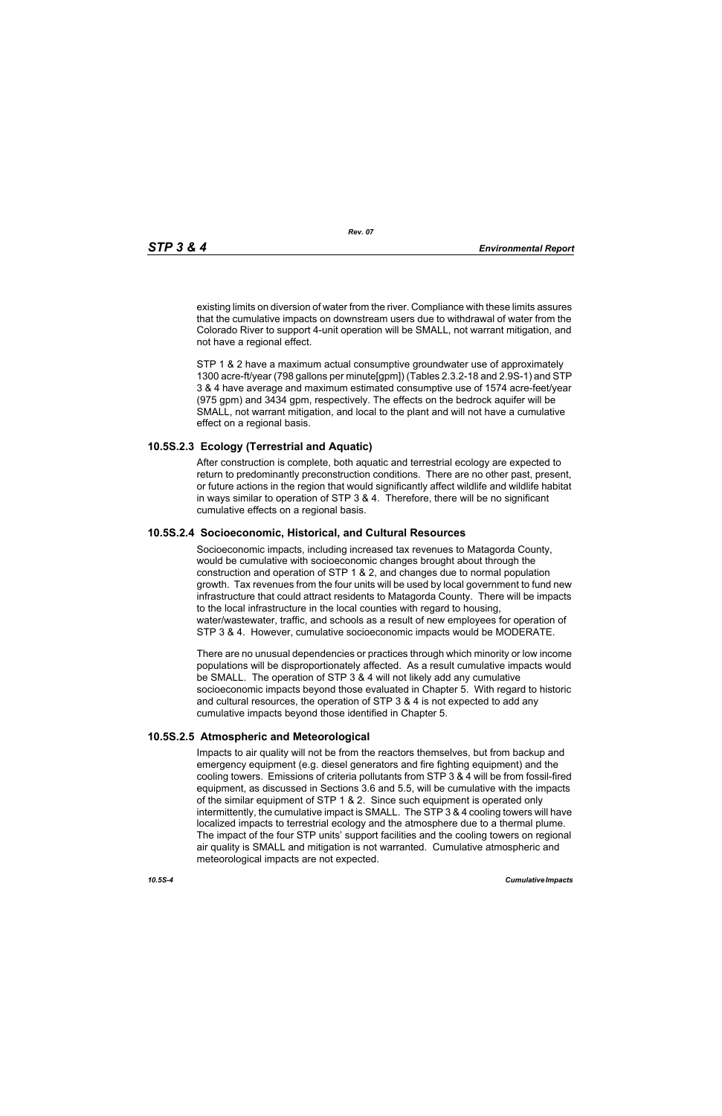existing limits on diversion of water from the river. Compliance with these limits assures that the cumulative impacts on downstream users due to withdrawal of water from the Colorado River to support 4-unit operation will be SMALL, not warrant mitigation, and not have a regional effect.

STP 1 & 2 have a maximum actual consumptive groundwater use of approximately 1300 acre-ft/year (798 gallons per minute[gpm]) (Tables 2.3.2-18 and 2.9S-1) and STP 3 & 4 have average and maximum estimated consumptive use of 1574 acre-feet/year (975 gpm) and 3434 gpm, respectively. The effects on the bedrock aquifer will be SMALL, not warrant mitigation, and local to the plant and will not have a cumulative effect on a regional basis.

### **10.5S.2.3 Ecology (Terrestrial and Aquatic)**

After construction is complete, both aquatic and terrestrial ecology are expected to return to predominantly preconstruction conditions. There are no other past, present, or future actions in the region that would significantly affect wildlife and wildlife habitat in ways similar to operation of STP 3 & 4. Therefore, there will be no significant cumulative effects on a regional basis.

## **10.5S.2.4 Socioeconomic, Historical, and Cultural Resources**

Socioeconomic impacts, including increased tax revenues to Matagorda County, would be cumulative with socioeconomic changes brought about through the construction and operation of STP 1 & 2, and changes due to normal population growth. Tax revenues from the four units will be used by local government to fund new infrastructure that could attract residents to Matagorda County. There will be impacts to the local infrastructure in the local counties with regard to housing, water/wastewater, traffic, and schools as a result of new employees for operation of STP 3 & 4. However, cumulative socioeconomic impacts would be MODERATE.

There are no unusual dependencies or practices through which minority or low income populations will be disproportionately affected. As a result cumulative impacts would be SMALL. The operation of STP 3 & 4 will not likely add any cumulative socioeconomic impacts beyond those evaluated in Chapter 5. With regard to historic and cultural resources, the operation of STP 3 & 4 is not expected to add any cumulative impacts beyond those identified in Chapter 5.

#### **10.5S.2.5 Atmospheric and Meteorological**

Impacts to air quality will not be from the reactors themselves, but from backup and emergency equipment (e.g. diesel generators and fire fighting equipment) and the cooling towers. Emissions of criteria pollutants from STP 3 & 4 will be from fossil-fired equipment, as discussed in Sections 3.6 and 5.5, will be cumulative with the impacts of the similar equipment of STP 1 & 2. Since such equipment is operated only intermittently, the cumulative impact is SMALL. The STP 3 & 4 cooling towers will have localized impacts to terrestrial ecology and the atmosphere due to a thermal plume. The impact of the four STP units' support facilities and the cooling towers on regional air quality is SMALL and mitigation is not warranted. Cumulative atmospheric and meteorological impacts are not expected.